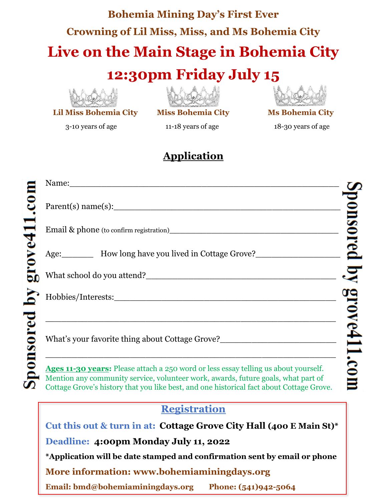## **Bohemia Mining Day's First Ever Crowning of Lil Miss, Miss, and Ms Bohemia City Live on the Main Stage in Bohemia City**

### **12:30pm Friday July 15**



**Lil Miss Bohemia City Miss Bohemia City Ms Bohemia City**



3-10 years of age 11-18 years of age 18-30 years of age

#### **Application**

| Name: Name and the set of the set of the set of the set of the set of the set of the set of the set of the set of the set of the set of the set of the set of the set of the set of the set of the set of the set of the set o |  |
|--------------------------------------------------------------------------------------------------------------------------------------------------------------------------------------------------------------------------------|--|
|                                                                                                                                                                                                                                |  |
|                                                                                                                                                                                                                                |  |
| Age: How long have you lived in Cottage Grove?                                                                                                                                                                                 |  |
| Mhat school do you attend?                                                                                                                                                                                                     |  |
|                                                                                                                                                                                                                                |  |
|                                                                                                                                                                                                                                |  |
| What's your favorite thing about Cottage Grove?_________________________________                                                                                                                                               |  |
| Ages 11-30 years: Please attach a 250 word or less essay telling us about yourself.<br>Montine and community comics unlustron would proved future goals what northe                                                            |  |

Mention any community service, volunteer work, awards, future goals, what part of Cottage Grove's history that you like best, and one historical fact about Cottage Grove.

#### **Registration**

**Cut this out & turn in at: Cottage Grove City Hall (400 E Main St)\***

**Deadline: 4:00pm Monday July 11, 2022**

**\*Application will be date stamped and confirmation sent by email or phone**

**More information: www.bohemiaminingdays.org** 

**Email: bmd@bohemiaminingdays.org Phone: (541)942-5064**